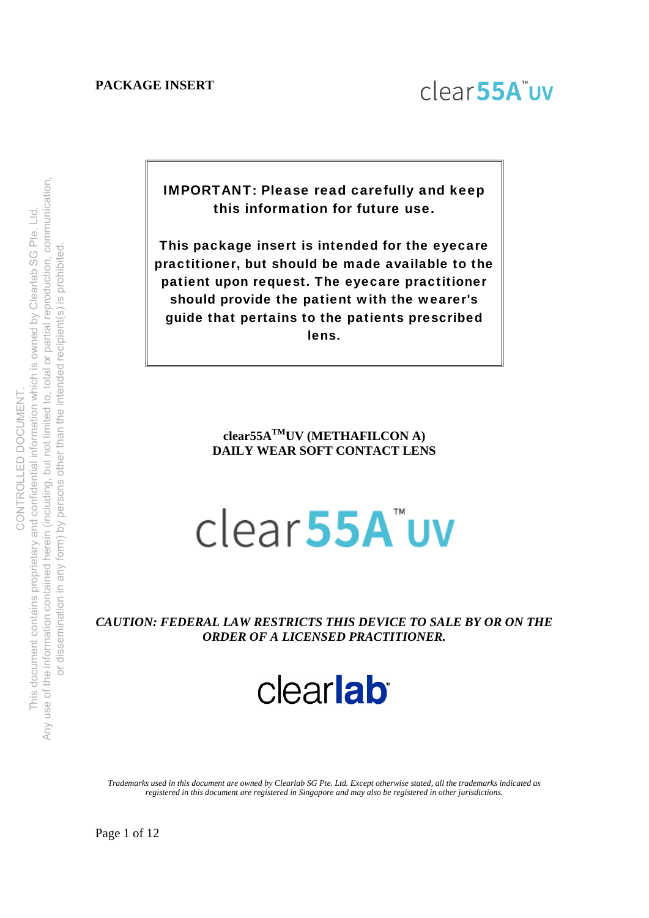

IMPORTANT: Please read carefully and keep this information for future use.

This package insert is intended for the eyecare practitioner, but should be made available to the patient upon request. The eyecare practitioner should provide the patient with the wearer's guide that pertains to the patients prescribed lens.

# **clear55ATMUV (METHAFILCON A) DAILY WEAR SOFT CONTACT LENS**

# clear<sub>55A</sub>"uv

*CAUTION: FEDERAL LAW RESTRICTS THIS DEVICE TO SALE BY OR ON THE ORDER OF A LICENSED PRACTITIONER.* 

clearlab

*Trademarks used in this document are owned by Clearlab SG Pte. Ltd. Except otherwise stated, all the trademarks indicated as registered in this document are registered in Singapore and may also be registered in other jurisdictions.*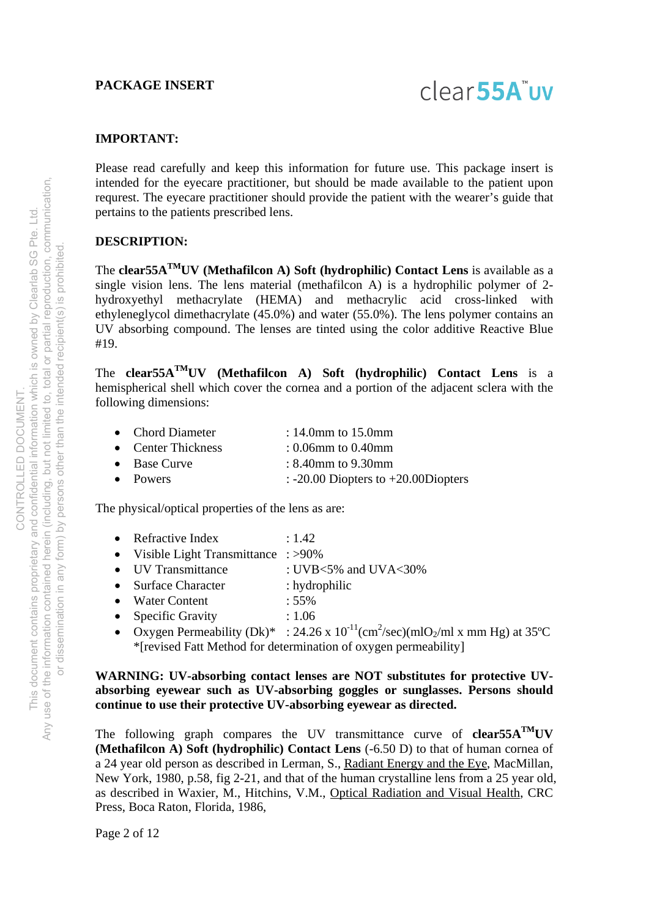# clear<sub>55A</sub>"uv

#### **IMPORTANT:**

Please read carefully and keep this information for future use. This package insert is intended for the eyecare practitioner, but should be made available to the patient upon requrest. The eyecare practitioner should provide the patient with the wearer's guide that pertains to the patients prescribed lens.

### **DESCRIPTION:**

The **clear55ATMUV (Methafilcon A) Soft (hydrophilic) Contact Lens** is available as a single vision lens. The lens material (methafilcon A) is a hydrophilic polymer of 2 hydroxyethyl methacrylate (HEMA) and methacrylic acid cross-linked with ethyleneglycol dimethacrylate (45.0%) and water (55.0%). The lens polymer contains an UV absorbing compound. The lenses are tinted using the color additive Reactive Blue #19.

The **clear55ATMUV (Methafilcon A) Soft (hydrophilic) Contact Lens** is a hemispherical shell which cover the cornea and a portion of the adjacent sclera with the following dimensions:

|  | <b>Chord Diameter</b> | : 14.0mm to $15.0$ mm |  |
|--|-----------------------|-----------------------|--|
|--|-----------------------|-----------------------|--|

- Center Thickness : 0.06mm to 0.40mm
- Base Curve : 8.40mm to 9.30mm
- Powers  $: -20.00$  Diopters to  $+20.00$ Diopters

The physical/optical properties of the lens as are:

- Refractive Index : 1.42
- Visible Light Transmittance : >90%
- UV Transmittance : UVB<5% and UVA<30%
- Surface Character : hydrophilic
- Water Content : 55%
- Specific Gravity : 1.06
- Oxygen Permeability (Dk)\* : 24.26 x  $10^{-11}$ (cm<sup>2</sup>/sec)(mlO<sub>2</sub>/ml x mm Hg) at 35°C \*[revised Fatt Method for determination of oxygen permeability]

#### **WARNING: UV-absorbing contact lenses are NOT substitutes for protective UVabsorbing eyewear such as UV-absorbing goggles or sunglasses. Persons should continue to use their protective UV-absorbing eyewear as directed.**

The following graph compares the UV transmittance curve of **clear55A**<sup>TM</sup>UV **(Methafilcon A) Soft (hydrophilic) Contact Lens** (-6.50 D) to that of human cornea of a 24 year old person as described in Lerman, S., Radiant Energy and the Eye, MacMillan, New York, 1980, p.58, fig 2-21, and that of the human crystalline lens from a 25 year old, as described in Waxier, M., Hitchins, V.M., Optical Radiation and Visual Health, CRC Press, Boca Raton, Florida, 1986,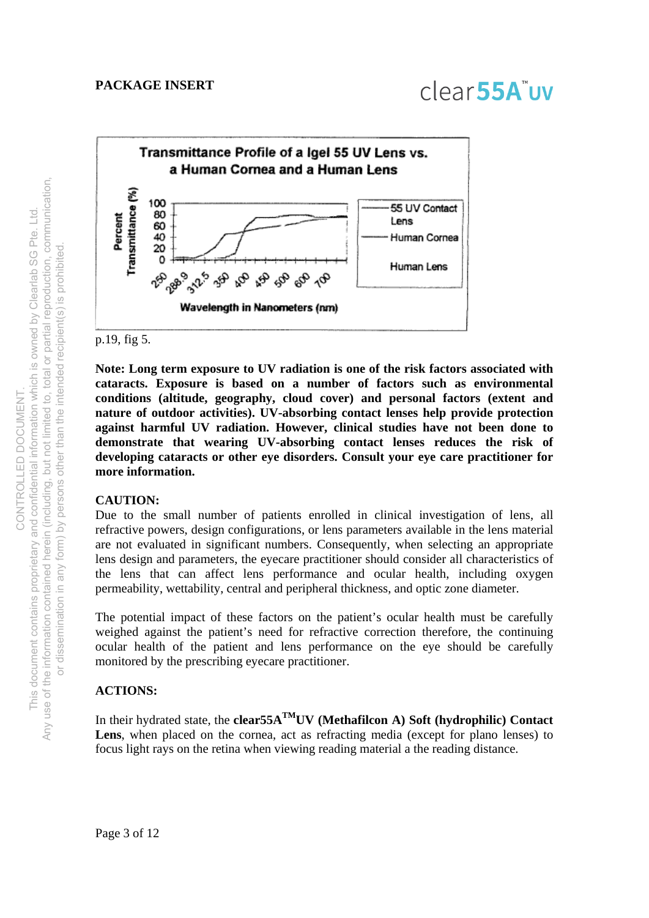

p.19, fig 5.

**Note: Long term exposure to UV radiation is one of the risk factors associated with cataracts. Exposure is based on a number of factors such as environmental conditions (altitude, geography, cloud cover) and personal factors (extent and nature of outdoor activities). UV-absorbing contact lenses help provide protection against harmful UV radiation. However, clinical studies have not been done to demonstrate that wearing UV-absorbing contact lenses reduces the risk of developing cataracts or other eye disorders. Consult your eye care practitioner for more information.** 

#### **CAUTION:**

Due to the small number of patients enrolled in clinical investigation of lens, all refractive powers, design configurations, or lens parameters available in the lens material are not evaluated in significant numbers. Consequently, when selecting an appropriate lens design and parameters, the eyecare practitioner should consider all characteristics of the lens that can affect lens performance and ocular health, including oxygen permeability, wettability, central and peripheral thickness, and optic zone diameter.

The potential impact of these factors on the patient's ocular health must be carefully weighed against the patient's need for refractive correction therefore, the continuing ocular health of the patient and lens performance on the eye should be carefully monitored by the prescribing eyecare practitioner.

#### **ACTIONS:**

In their hydrated state, the **clear55A**<sup>TM</sup>UV (Methafilcon A) Soft (hydrophilic) Contact Lens, when placed on the cornea, act as refracting media (except for plano lenses) to focus light rays on the retina when viewing reading material a the reading distance.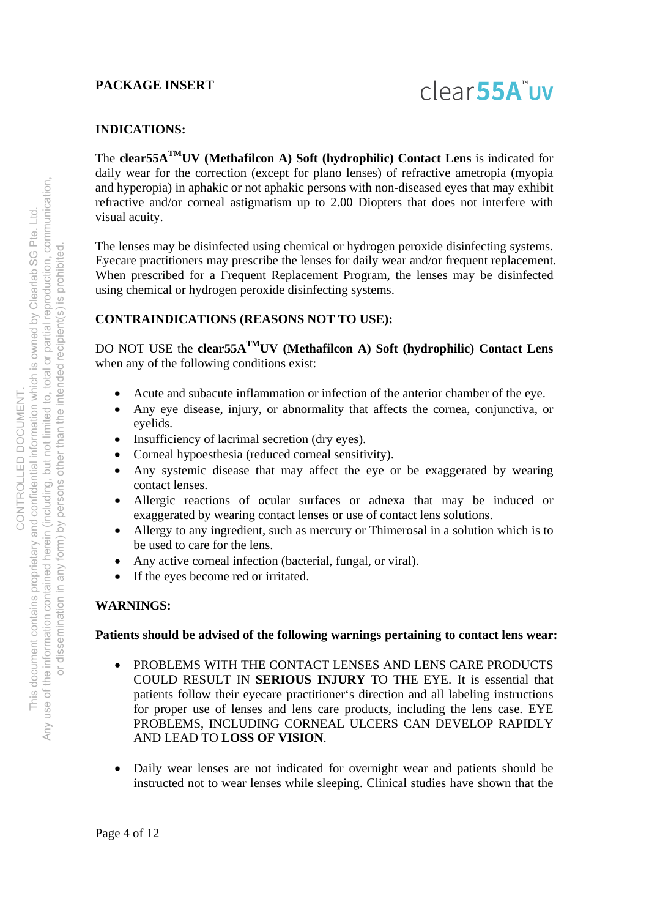

#### **INDICATIONS:**

The **clear55ATMUV (Methafilcon A) Soft (hydrophilic) Contact Lens** is indicated for daily wear for the correction (except for plano lenses) of refractive ametropia (myopia and hyperopia) in aphakic or not aphakic persons with non-diseased eyes that may exhibit refractive and/or corneal astigmatism up to 2.00 Diopters that does not interfere with visual acuity.

The lenses may be disinfected using chemical or hydrogen peroxide disinfecting systems. Eyecare practitioners may prescribe the lenses for daily wear and/or frequent replacement. When prescribed for a Frequent Replacement Program, the lenses may be disinfected using chemical or hydrogen peroxide disinfecting systems.

#### **CONTRAINDICATIONS (REASONS NOT TO USE):**

DO NOT USE the **clear55ATMUV (Methafilcon A) Soft (hydrophilic) Contact Lens** when any of the following conditions exist:

- Acute and subacute inflammation or infection of the anterior chamber of the eye.
- Any eye disease, injury, or abnormality that affects the cornea, conjunctiva, or eyelids.
- Insufficiency of lacrimal secretion (dry eyes).
- Corneal hypoesthesia (reduced corneal sensitivity).
- Any systemic disease that may affect the eye or be exaggerated by wearing contact lenses.
- Allergic reactions of ocular surfaces or adnexa that may be induced or exaggerated by wearing contact lenses or use of contact lens solutions.
- Allergy to any ingredient, such as mercury or Thimerosal in a solution which is to be used to care for the lens.
- Any active corneal infection (bacterial, fungal, or viral).
- If the eyes become red or irritated.

#### **WARNINGS:**

#### **Patients should be advised of the following warnings pertaining to contact lens wear:**

- PROBLEMS WITH THE CONTACT LENSES AND LENS CARE PRODUCTS COULD RESULT IN **SERIOUS INJURY** TO THE EYE. It is essential that patients follow their eyecare practitioner's direction and all labeling instructions for proper use of lenses and lens care products, including the lens case. EYE PROBLEMS, INCLUDING CORNEAL ULCERS CAN DEVELOP RAPIDLY AND LEAD TO **LOSS OF VISION**.
- Daily wear lenses are not indicated for overnight wear and patients should be instructed not to wear lenses while sleeping. Clinical studies have shown that the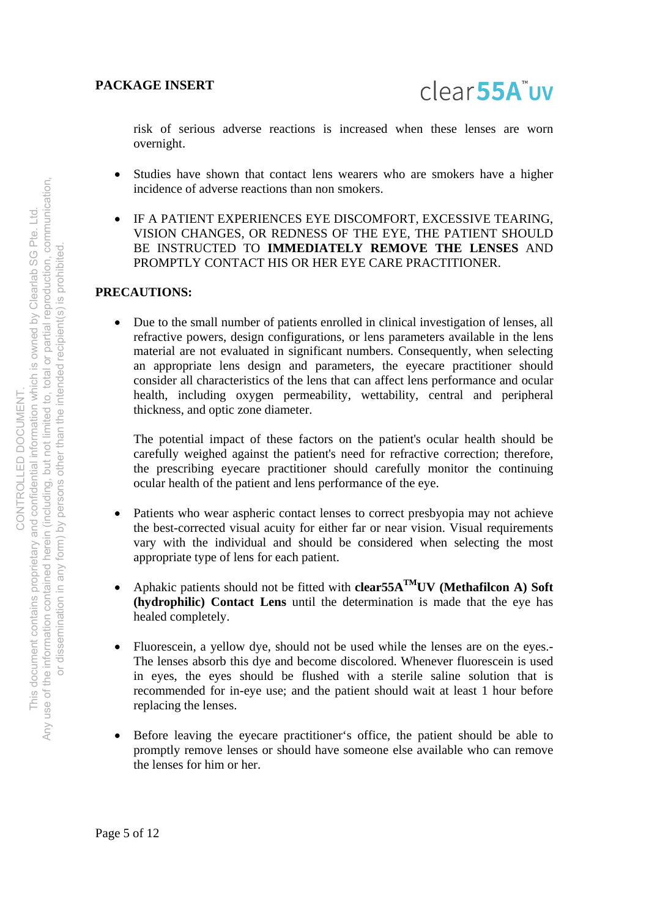risk of serious adverse reactions is increased when these lenses are worn overnight.

- Studies have shown that contact lens wearers who are smokers have a higher incidence of adverse reactions than non smokers.
- IF A PATIENT EXPERIENCES EYE DISCOMFORT, EXCESSIVE TEARING, VISION CHANGES, OR REDNESS OF THE EYE, THE PATIENT SHOULD BE INSTRUCTED TO **IMMEDIATELY REMOVE THE LENSES** AND PROMPTLY CONTACT HIS OR HER EYE CARE PRACTITIONER.

### **PRECAUTIONS:**

 Due to the small number of patients enrolled in clinical investigation of lenses, all refractive powers, design configurations, or lens parameters available in the lens material are not evaluated in significant numbers. Consequently, when selecting an appropriate lens design and parameters, the eyecare practitioner should consider all characteristics of the lens that can affect lens performance and ocular health, including oxygen permeability, wettability, central and peripheral thickness, and optic zone diameter.

The potential impact of these factors on the patient's ocular health should be carefully weighed against the patient's need for refractive correction; therefore, the prescribing eyecare practitioner should carefully monitor the continuing ocular health of the patient and lens performance of the eye.

- Patients who wear aspheric contact lenses to correct presbyopia may not achieve the best-corrected visual acuity for either far or near vision. Visual requirements vary with the individual and should be considered when selecting the most appropriate type of lens for each patient.
- Aphakic patients should not be fitted with **clear55ATMUV (Methafilcon A) Soft (hydrophilic) Contact Lens** until the determination is made that the eye has healed completely.
- Fluorescein, a yellow dye, should not be used while the lenses are on the eyes.- The lenses absorb this dye and become discolored. Whenever fluorescein is used in eyes, the eyes should be flushed with a sterile saline solution that is recommended for in-eye use; and the patient should wait at least 1 hour before replacing the lenses.
- Before leaving the eyecare practitioner's office, the patient should be able to promptly remove lenses or should have someone else available who can remove the lenses for him or her.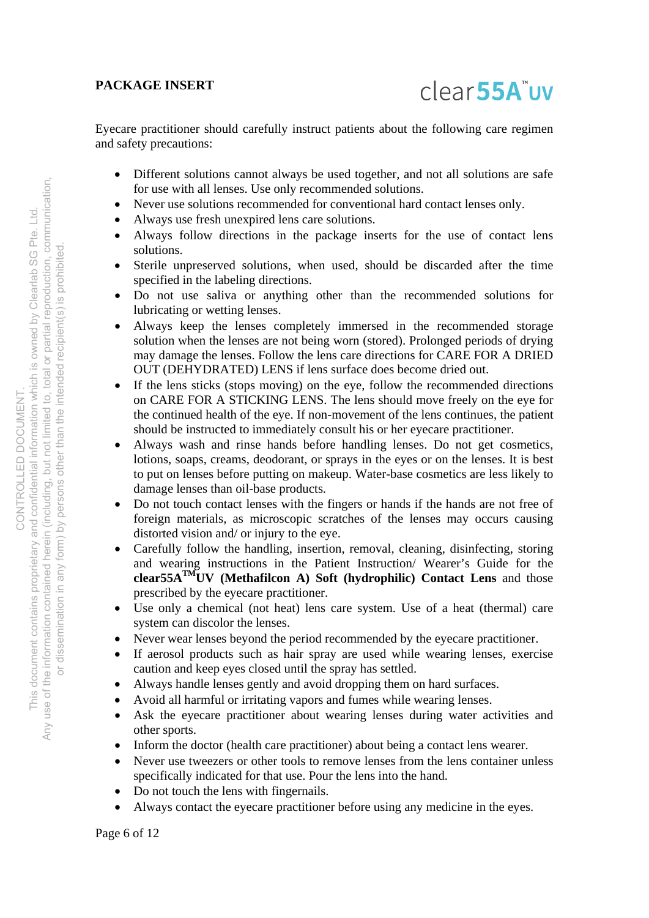Eyecare practitioner should carefully instruct patients about the following care regimen and safety precautions:

- Different solutions cannot always be used together, and not all solutions are safe for use with all lenses. Use only recommended solutions.
- Never use solutions recommended for conventional hard contact lenses only.
- Always use fresh unexpired lens care solutions.
- Always follow directions in the package inserts for the use of contact lens solutions.
- Sterile unpreserved solutions, when used, should be discarded after the time specified in the labeling directions.
- Do not use saliva or anything other than the recommended solutions for lubricating or wetting lenses.
- Always keep the lenses completely immersed in the recommended storage solution when the lenses are not being worn (stored). Prolonged periods of drying may damage the lenses. Follow the lens care directions for CARE FOR A DRIED OUT (DEHYDRATED) LENS if lens surface does become dried out.
- If the lens sticks (stops moving) on the eye, follow the recommended directions on CARE FOR A STICKING LENS. The lens should move freely on the eye for the continued health of the eye. If non-movement of the lens continues, the patient should be instructed to immediately consult his or her eyecare practitioner.
- Always wash and rinse hands before handling lenses. Do not get cosmetics, lotions, soaps, creams, deodorant, or sprays in the eyes or on the lenses. It is best to put on lenses before putting on makeup. Water-base cosmetics are less likely to damage lenses than oil-base products.
- Do not touch contact lenses with the fingers or hands if the hands are not free of foreign materials, as microscopic scratches of the lenses may occurs causing distorted vision and/ or injury to the eye.
- Carefully follow the handling, insertion, removal, cleaning, disinfecting, storing and wearing instructions in the Patient Instruction/ Wearer's Guide for the **clear55ATMUV (Methafilcon A) Soft (hydrophilic) Contact Lens** and those prescribed by the eyecare practitioner.
- Use only a chemical (not heat) lens care system. Use of a heat (thermal) care system can discolor the lenses.
- Never wear lenses beyond the period recommended by the eyecare practitioner.
- If aerosol products such as hair spray are used while wearing lenses, exercise caution and keep eyes closed until the spray has settled.
- Always handle lenses gently and avoid dropping them on hard surfaces.
- Avoid all harmful or irritating vapors and fumes while wearing lenses.
- Ask the eyecare practitioner about wearing lenses during water activities and other sports.
- Inform the doctor (health care practitioner) about being a contact lens wearer.
- Never use tweezers or other tools to remove lenses from the lens container unless specifically indicated for that use. Pour the lens into the hand.
- Do not touch the lens with fingernails.
- Always contact the eyecare practitioner before using any medicine in the eyes.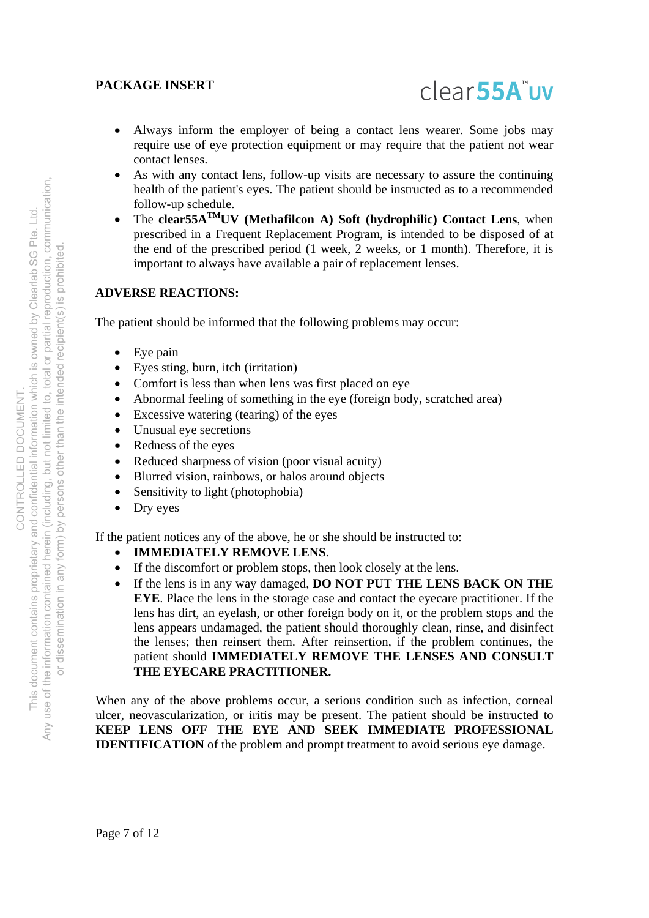

- Always inform the employer of being a contact lens wearer. Some jobs may require use of eye protection equipment or may require that the patient not wear contact lenses.
- As with any contact lens, follow-up visits are necessary to assure the continuing health of the patient's eyes. The patient should be instructed as to a recommended follow-up schedule.
- The **clear55ATMUV (Methafilcon A) Soft (hydrophilic) Contact Lens**, when prescribed in a Frequent Replacement Program, is intended to be disposed of at the end of the prescribed period (1 week, 2 weeks, or 1 month). Therefore, it is important to always have available a pair of replacement lenses.

#### **ADVERSE REACTIONS:**

The patient should be informed that the following problems may occur:

- Eye pain
- Eyes sting, burn, itch (irritation)
- Comfort is less than when lens was first placed on eye
- Abnormal feeling of something in the eye (foreign body, scratched area)
- Excessive watering (tearing) of the eyes
- Unusual eye secretions
- Redness of the eyes
- Reduced sharpness of vision (poor visual acuity)
- Blurred vision, rainbows, or halos around objects
- Sensitivity to light (photophobia)
- Dry eyes

If the patient notices any of the above, he or she should be instructed to:

- **IMMEDIATELY REMOVE LENS**.
- If the discomfort or problem stops, then look closely at the lens.
- If the lens is in any way damaged, **DO NOT PUT THE LENS BACK ON THE EYE**. Place the lens in the storage case and contact the eyecare practitioner. If the lens has dirt, an eyelash, or other foreign body on it, or the problem stops and the lens appears undamaged, the patient should thoroughly clean, rinse, and disinfect the lenses; then reinsert them. After reinsertion, if the problem continues, the patient should **IMMEDIATELY REMOVE THE LENSES AND CONSULT THE EYECARE PRACTITIONER.**

When any of the above problems occur, a serious condition such as infection, corneal ulcer, neovascularization, or iritis may be present. The patient should be instructed to **KEEP LENS OFF THE EYE AND SEEK IMMEDIATE PROFESSIONAL IDENTIFICATION** of the problem and prompt treatment to avoid serious eye damage.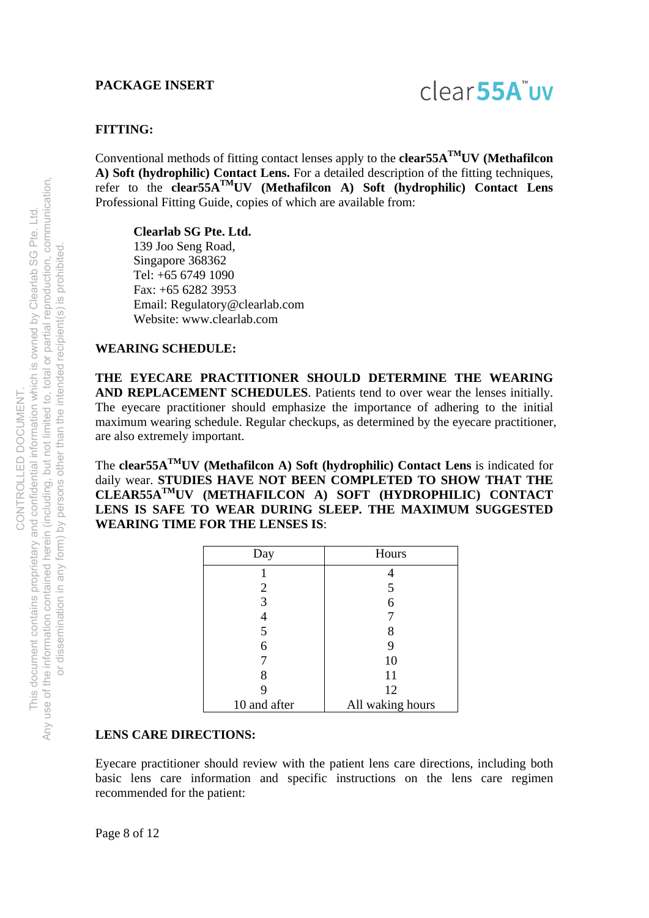# clear<sub>55A</sub>"uv

#### **FITTING:**

Conventional methods of fitting contact lenses apply to the **clear55ATMUV (Methafilcon A) Soft (hydrophilic) Contact Lens.** For a detailed description of the fitting techniques, refer to the **clear55ATMUV (Methafilcon A) Soft (hydrophilic) Contact Lens** Professional Fitting Guide, copies of which are available from:

**Clearlab SG Pte. Ltd.** 

 139 Joo Seng Road, Singapore 368362 Tel: +65 6749 1090 Fax: +65 6282 3953 Email: Regulatory@clearlab.com Website: www.clearlab.com

#### **WEARING SCHEDULE:**

**THE EYECARE PRACTITIONER SHOULD DETERMINE THE WEARING AND REPLACEMENT SCHEDULES**. Patients tend to over wear the lenses initially. The eyecare practitioner should emphasize the importance of adhering to the initial maximum wearing schedule. Regular checkups, as determined by the eyecare practitioner, are also extremely important.

The **clear55ATMUV (Methafilcon A) Soft (hydrophilic) Contact Lens** is indicated for daily wear. **STUDIES HAVE NOT BEEN COMPLETED TO SHOW THAT THE CLEAR55ATMUV (METHAFILCON A) SOFT (HYDROPHILIC) CONTACT LENS IS SAFE TO WEAR DURING SLEEP. THE MAXIMUM SUGGESTED WEARING TIME FOR THE LENSES IS**:

| Day          | Hours            |  |
|--------------|------------------|--|
|              |                  |  |
| 2            | 5                |  |
| 3            | 6                |  |
|              |                  |  |
| 5            | 8                |  |
| 6            | 9                |  |
|              | 10               |  |
| 8            | 11               |  |
|              | 12               |  |
| 10 and after | All waking hours |  |

#### **LENS CARE DIRECTIONS:**

Eyecare practitioner should review with the patient lens care directions, including both basic lens care information and specific instructions on the lens care regimen recommended for the patient: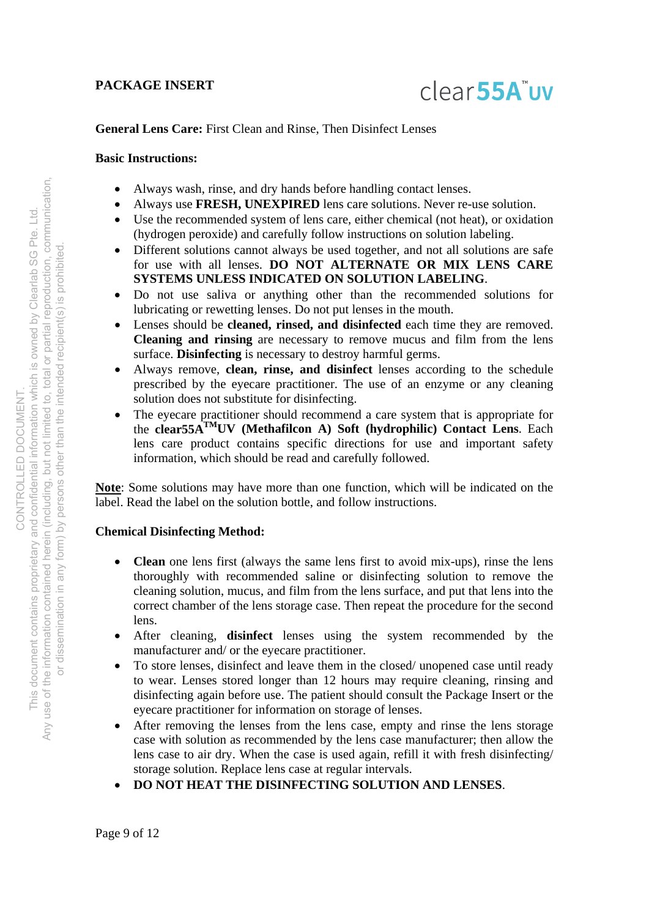

#### **General Lens Care:** First Clean and Rinse, Then Disinfect Lenses

#### **Basic Instructions:**

- Always wash, rinse, and dry hands before handling contact lenses.
- Always use **FRESH, UNEXPIRED** lens care solutions. Never re-use solution.
- Use the recommended system of lens care, either chemical (not heat), or oxidation (hydrogen peroxide) and carefully follow instructions on solution labeling.
- Different solutions cannot always be used together, and not all solutions are safe for use with all lenses. **DO NOT ALTERNATE OR MIX LENS CARE SYSTEMS UNLESS INDICATED ON SOLUTION LABELING**.
- Do not use saliva or anything other than the recommended solutions for lubricating or rewetting lenses. Do not put lenses in the mouth.
- Lenses should be **cleaned, rinsed, and disinfected** each time they are removed. **Cleaning and rinsing** are necessary to remove mucus and film from the lens surface. **Disinfecting** is necessary to destroy harmful germs.
- Always remove, **clean, rinse, and disinfect** lenses according to the schedule prescribed by the eyecare practitioner. The use of an enzyme or any cleaning solution does not substitute for disinfecting.
- The eyecare practitioner should recommend a care system that is appropriate for the **clear55ATMUV (Methafilcon A) Soft (hydrophilic) Contact Lens**. Each lens care product contains specific directions for use and important safety information, which should be read and carefully followed.

**Note**: Some solutions may have more than one function, which will be indicated on the label. Read the label on the solution bottle, and follow instructions.

#### **Chemical Disinfecting Method:**

- **Clean** one lens first (always the same lens first to avoid mix-ups), rinse the lens thoroughly with recommended saline or disinfecting solution to remove the cleaning solution, mucus, and film from the lens surface, and put that lens into the correct chamber of the lens storage case. Then repeat the procedure for the second lens.
- After cleaning, **disinfect** lenses using the system recommended by the manufacturer and/ or the eyecare practitioner.
- To store lenses, disinfect and leave them in the closed/ unopened case until ready to wear. Lenses stored longer than 12 hours may require cleaning, rinsing and disinfecting again before use. The patient should consult the Package Insert or the eyecare practitioner for information on storage of lenses.
- After removing the lenses from the lens case, empty and rinse the lens storage case with solution as recommended by the lens case manufacturer; then allow the lens case to air dry. When the case is used again, refill it with fresh disinfecting/ storage solution. Replace lens case at regular intervals.
- **DO NOT HEAT THE DISINFECTING SOLUTION AND LENSES**.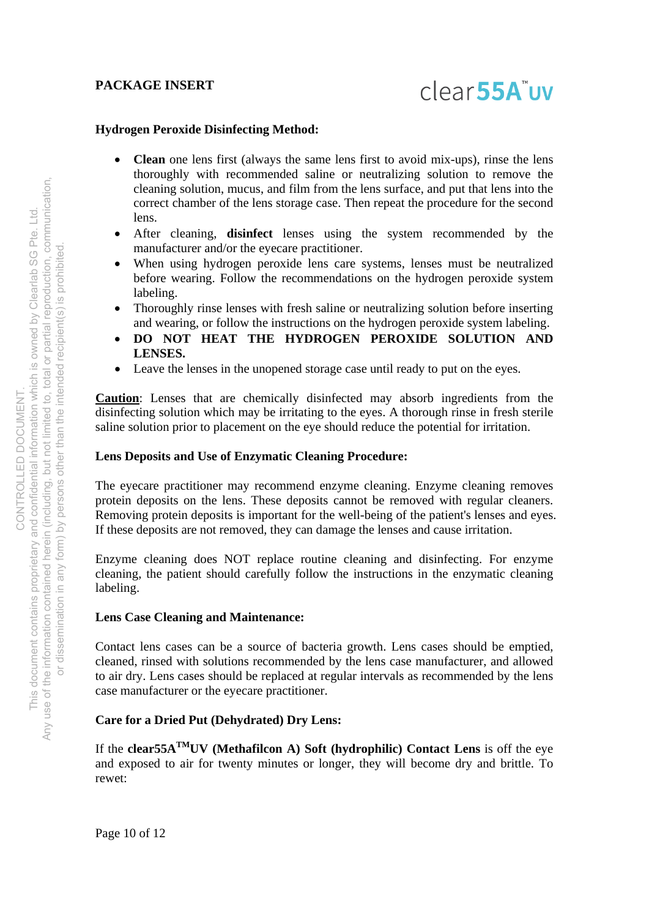# **Hydrogen Peroxide Disinfecting Method:**

- **Clean** one lens first (always the same lens first to avoid mix-ups), rinse the lens thoroughly with recommended saline or neutralizing solution to remove the cleaning solution, mucus, and film from the lens surface, and put that lens into the correct chamber of the lens storage case. Then repeat the procedure for the second lens.
- After cleaning, **disinfect** lenses using the system recommended by the manufacturer and/or the eyecare practitioner.
- When using hydrogen peroxide lens care systems, lenses must be neutralized before wearing. Follow the recommendations on the hydrogen peroxide system labeling.
- Thoroughly rinse lenses with fresh saline or neutralizing solution before inserting and wearing, or follow the instructions on the hydrogen peroxide system labeling.
- **DO NOT HEAT THE HYDROGEN PEROXIDE SOLUTION AND LENSES.**
- Leave the lenses in the unopened storage case until ready to put on the eyes.

**Caution**: Lenses that are chemically disinfected may absorb ingredients from the disinfecting solution which may be irritating to the eyes. A thorough rinse in fresh sterile saline solution prior to placement on the eye should reduce the potential for irritation.

# **Lens Deposits and Use of Enzymatic Cleaning Procedure:**

The eyecare practitioner may recommend enzyme cleaning. Enzyme cleaning removes protein deposits on the lens. These deposits cannot be removed with regular cleaners. Removing protein deposits is important for the well-being of the patient's lenses and eyes. If these deposits are not removed, they can damage the lenses and cause irritation.

Enzyme cleaning does NOT replace routine cleaning and disinfecting. For enzyme cleaning, the patient should carefully follow the instructions in the enzymatic cleaning labeling.

# **Lens Case Cleaning and Maintenance:**

Contact lens cases can be a source of bacteria growth. Lens cases should be emptied, cleaned, rinsed with solutions recommended by the lens case manufacturer, and allowed to air dry. Lens cases should be replaced at regular intervals as recommended by the lens case manufacturer or the eyecare practitioner.

# **Care for a Dried Put (Dehydrated) Dry Lens:**

If the **clear55ATMUV (Methafilcon A) Soft (hydrophilic) Contact Lens** is off the eye and exposed to air for twenty minutes or longer, they will become dry and brittle. To rewet: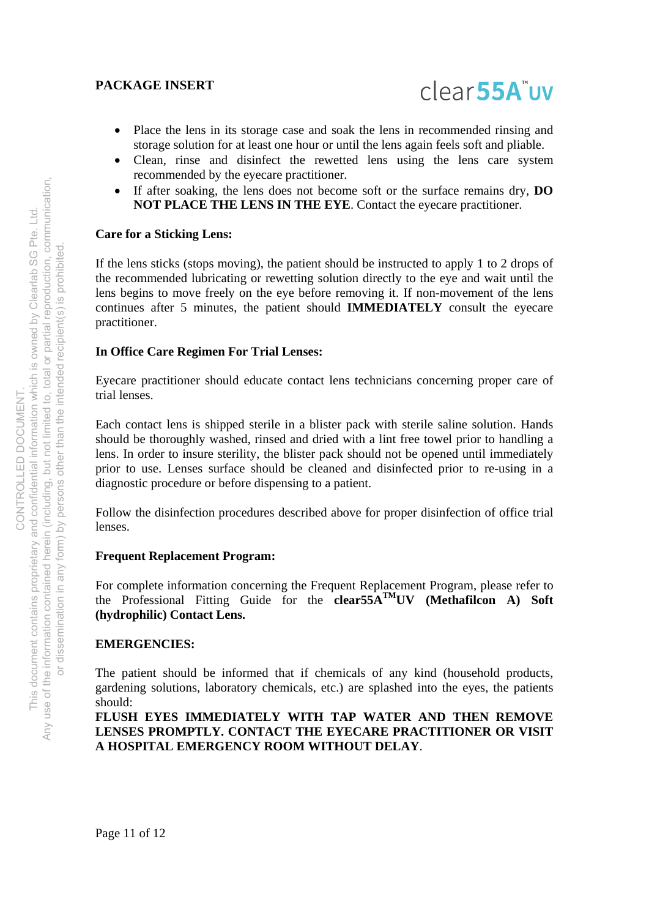

- Place the lens in its storage case and soak the lens in recommended rinsing and storage solution for at least one hour or until the lens again feels soft and pliable.
- Clean, rinse and disinfect the rewetted lens using the lens care system recommended by the eyecare practitioner.
- If after soaking, the lens does not become soft or the surface remains dry, **DO NOT PLACE THE LENS IN THE EYE**. Contact the eyecare practitioner.

#### **Care for a Sticking Lens:**

If the lens sticks (stops moving), the patient should be instructed to apply 1 to 2 drops of the recommended lubricating or rewetting solution directly to the eye and wait until the lens begins to move freely on the eye before removing it. If non-movement of the lens continues after 5 minutes, the patient should **IMMEDIATELY** consult the eyecare practitioner.

#### **In Office Care Regimen For Trial Lenses:**

Eyecare practitioner should educate contact lens technicians concerning proper care of trial lenses.

Each contact lens is shipped sterile in a blister pack with sterile saline solution. Hands should be thoroughly washed, rinsed and dried with a lint free towel prior to handling a lens. In order to insure sterility, the blister pack should not be opened until immediately prior to use. Lenses surface should be cleaned and disinfected prior to re-using in a diagnostic procedure or before dispensing to a patient.

Follow the disinfection procedures described above for proper disinfection of office trial lenses.

#### **Frequent Replacement Program:**

For complete information concerning the Frequent Replacement Program, please refer to the Professional Fitting Guide for the **clear55ATMUV (Methafilcon A) Soft (hydrophilic) Contact Lens.** 

#### **EMERGENCIES:**

The patient should be informed that if chemicals of any kind (household products, gardening solutions, laboratory chemicals, etc.) are splashed into the eyes, the patients should:

**FLUSH EYES IMMEDIATELY WITH TAP WATER AND THEN REMOVE LENSES PROMPTLY. CONTACT THE EYECARE PRACTITIONER OR VISIT A HOSPITAL EMERGENCY ROOM WITHOUT DELAY**.